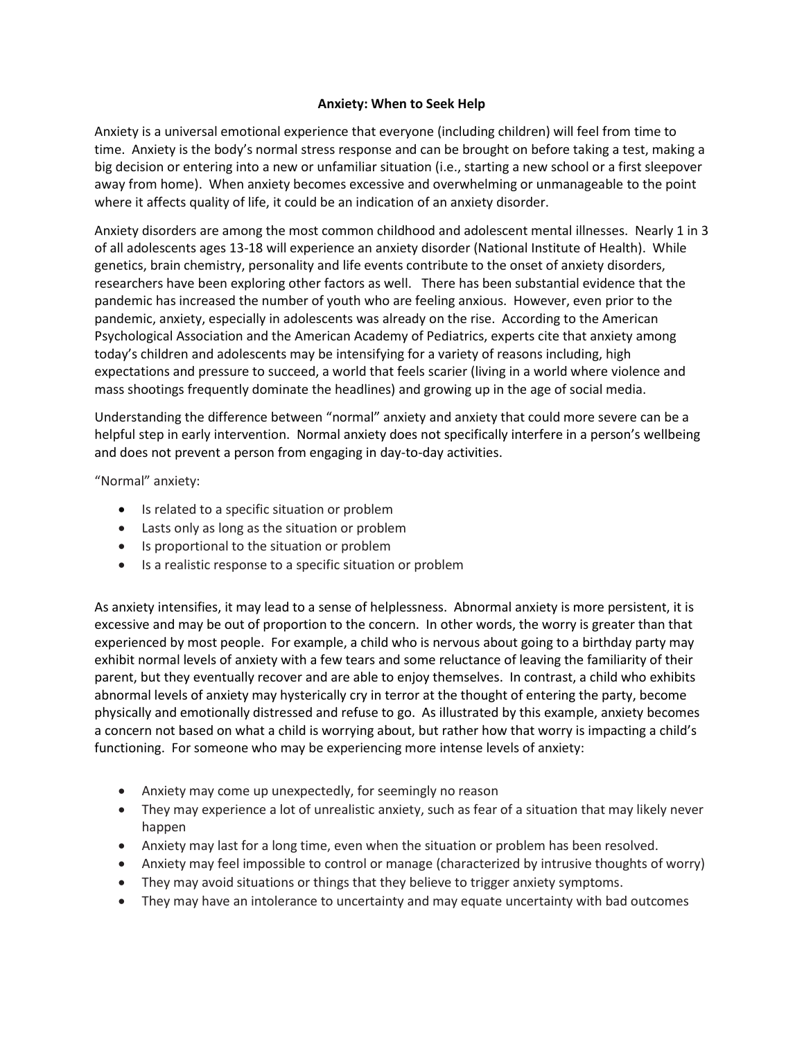## **Anxiety: When to Seek Help**

Anxiety is a universal emotional experience that everyone (including children) will feel from time to time. Anxiety is the body's normal stress response and can be brought on before taking a test, making a big decision or entering into a new or unfamiliar situation (i.e., starting a new school or a first sleepover away from home). When anxiety becomes excessive and overwhelming or unmanageable to the point where it affects quality of life, it could be an indication of an anxiety disorder.

Anxiety disorders are among the most common childhood and adolescent mental illnesses. Nearly 1 in 3 of all adolescents ages 13-18 will experience an anxiety disorder (National Institute of Health). While genetics, brain chemistry, personality and life events contribute to the onset of anxiety disorders, researchers have been exploring other factors as well. There has been substantial evidence that the pandemic has increased the number of youth who are feeling anxious. However, even prior to the pandemic, anxiety, especially in adolescents was already on the rise. According to the American Psychological Association and the American Academy of Pediatrics, experts cite that anxiety among today's children and adolescents may be intensifying for a variety of reasons including, high expectations and pressure to succeed, a world that feels scarier (living in a world where violence and mass shootings frequently dominate the headlines) and growing up in the age of social media.

Understanding the difference between "normal" anxiety and anxiety that could more severe can be a helpful step in early intervention. Normal anxiety does not specifically interfere in a person's wellbeing and does not prevent a person from engaging in day-to-day activities.

"Normal" anxiety:

- Is related to a specific situation or problem
- Lasts only as long as the situation or problem
- Is proportional to the situation or problem
- Is a realistic response to a specific situation or problem

As anxiety intensifies, it may lead to a sense of helplessness. Abnormal anxiety is more persistent, it is excessive and may be out of proportion to the concern. In other words, the worry is greater than that experienced by most people. For example, a child who is nervous about going to a birthday party may exhibit normal levels of anxiety with a few tears and some reluctance of leaving the familiarity of their parent, but they eventually recover and are able to enjoy themselves. In contrast, a child who exhibits abnormal levels of anxiety may hysterically cry in terror at the thought of entering the party, become physically and emotionally distressed and refuse to go. As illustrated by this example, anxiety becomes a concern not based on what a child is worrying about, but rather how that worry is impacting a child's functioning. For someone who may be experiencing more intense levels of anxiety:

- Anxiety may come up unexpectedly, for seemingly no reason
- They may experience a lot of unrealistic anxiety, such as fear of a situation that may likely never happen
- Anxiety may last for a long time, even when the situation or problem has been resolved.
- Anxiety may feel impossible to control or manage (characterized by intrusive thoughts of worry)
- They may avoid situations or things that they believe to trigger anxiety symptoms.
- They may have an intolerance to uncertainty and may equate uncertainty with bad outcomes